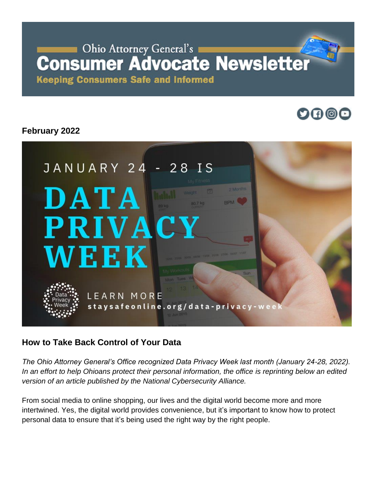# Ohio Attorney General's **Consumer Advocate Newsletter**

**Keeping Consumers Safe and Informed** 

# $\mathbf{O} \mathbf{O} \mathbf{O}$

# **February 2022**



## **How to Take Back Control of Your Data**

*The Ohio Attorney General's Office recognized Data Privacy Week last month (January 24-28, 2022). In an effort to help Ohioans protect their personal information, the office is reprinting below an edited version of an article published by the National Cybersecurity Alliance.* 

From social media to online shopping, our lives and the digital world become more and more intertwined. Yes, the digital world provides convenience, but it's important to know how to protect personal data to ensure that it's being used the right way by the right people.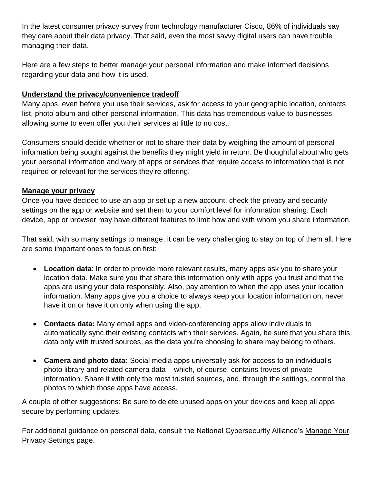In the latest consumer privacy survey from technology manufacturer Cisco, [86% of individuals](https://www.cisco.com/c/dam/en_us/about/doing_business/trust-center/docs/cisco-cybersecurity-series-2021-cps.pdf) say they care about their data privacy. That said, even the most savvy digital users can have trouble managing their data.

Here are a few steps to better manage your personal information and make informed decisions regarding your data and how it is used.

### **Understand the privacy/convenience tradeoff**

Many apps, even before you use their services, ask for access to your geographic location, contacts list, photo album and other personal information. This data has tremendous value to businesses, allowing some to even offer you their services at little to no cost.

Consumers should decide whether or not to share their data by weighing the amount of personal information being sought against the benefits they might yield in return. Be thoughtful about who gets your personal information and wary of apps or services that require access to information that is not required or relevant for the services they're offering.

### **Manage your privacy**

Once you have decided to use an app or set up a new account, check the privacy and security settings on the app or website and set them to your comfort level for information sharing. Each device, app or browser may have different features to limit how and with whom you share information.

That said, with so many settings to manage, it can be very challenging to stay on top of them all. Here are some important ones to focus on first:

- **Location data**: In order to provide more relevant results, many apps ask you to share your location data. Make sure you that share this information only with apps you trust and that the apps are using your data responsibly. Also, pay attention to when the app uses your location information. Many apps give you a choice to always keep your location information on, never have it on or have it on only when using the app.
- **Contacts data:** Many email apps and video-conferencing apps allow individuals to automatically sync their existing contacts with their services. Again, be sure that you share this data only with trusted sources, as the data you're choosing to share may belong to others.
- **Camera and photo data:** Social media apps universally ask for access to an individual's photo library and related camera data – which, of course, contains troves of private information. Share it with only the most trusted sources, and, through the settings, control the photos to which those apps have access.

A couple of other suggestions: Be sure to delete unused apps on your devices and keep all apps secure by performing updates.

For additional guidance on personal data, consult the National Cybersecurity Alliance's [Manage Your](https://staysafeonline.org/stay-safe-online/managing-your-privacy/manage-privacy-settings/)  [Privacy Settings page.](https://staysafeonline.org/stay-safe-online/managing-your-privacy/manage-privacy-settings/)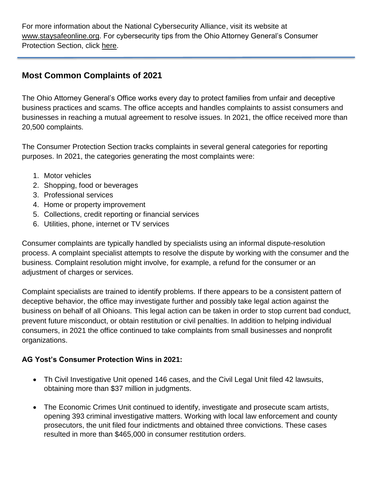For more information about the National Cybersecurity Alliance, visit its website at [www.staysafeonline.org.](http://www.staysafeonline.org/) For cybersecurity tips from the Ohio Attorney General's Consumer Protection Section, click [here.](https://www.ohioattorneygeneral.gov/Files/Publications-Files/Publications-for-Consumers/CHIPP-Stay-Safe-in-Cyberspace)

## **Most Common Complaints of 2021**

The Ohio Attorney General's Office works every day to protect families from unfair and deceptive business practices and scams. The office accepts and handles complaints to assist consumers and businesses in reaching a mutual agreement to resolve issues. In 2021, the office received more than 20,500 complaints.

The Consumer Protection Section tracks complaints in several general categories for reporting purposes. In 2021, the categories generating the most complaints were:

- 1. Motor vehicles
- 2. Shopping, food or beverages
- 3. Professional services
- 4. Home or property improvement
- 5. Collections, credit reporting or financial services
- 6. Utilities, phone, internet or TV services

Consumer complaints are typically handled by specialists using an informal dispute-resolution process. A complaint specialist attempts to resolve the dispute by working with the consumer and the business. Complaint resolution might involve, for example, a refund for the consumer or an adjustment of charges or services.

Complaint specialists are trained to identify problems. If there appears to be a consistent pattern of deceptive behavior, the office may investigate further and possibly take legal action against the business on behalf of all Ohioans. This legal action can be taken in order to stop current bad conduct, prevent future misconduct, or obtain restitution or civil penalties. In addition to helping individual consumers, in 2021 the office continued to take complaints from small businesses and nonprofit organizations.

#### **AG Yost's Consumer Protection Wins in 2021:**

- Th Civil Investigative Unit opened 146 cases, and the Civil Legal Unit filed 42 lawsuits, obtaining more than \$37 million in judgments.
- The Economic Crimes Unit continued to identify, investigate and prosecute scam artists, opening 393 criminal investigative matters. Working with local law enforcement and county prosecutors, the unit filed four indictments and obtained three convictions. These cases resulted in more than \$465,000 in consumer restitution orders.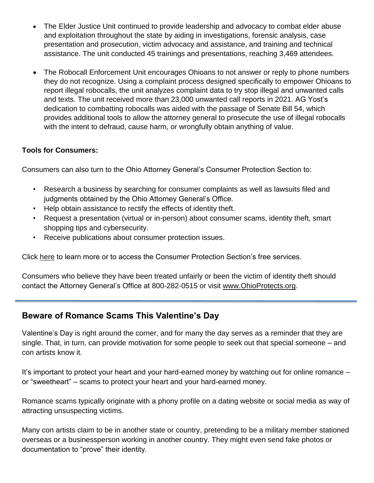- The Elder Justice Unit continued to provide leadership and advocacy to combat elder abuse and exploitation throughout the state by aiding in investigations, forensic analysis, case presentation and prosecution, victim advocacy and assistance, and training and technical assistance. The unit conducted 45 trainings and presentations, reaching 3,469 attendees.
- The Robocall Enforcement Unit encourages Ohioans to not answer or reply to phone numbers they do not recognize. Using a complaint process designed specifically to empower Ohioans to report illegal robocalls, the unit analyzes complaint data to try stop illegal and unwanted calls and texts. The unit received more than 23,000 unwanted call reports in 2021. AG Yost's dedication to combatting robocalls was aided with the passage of Senate Bill 54, which provides additional tools to allow the attorney general to prosecute the use of illegal robocalls with the intent to defraud, cause harm, or wrongfully obtain anything of value.

### **Tools for Consumers:**

Consumers can also turn to the Ohio Attorney General's Consumer Protection Section to:

- Research a business by searching for consumer complaints as well as lawsuits filed and judgments obtained by the Ohio Attorney General's Office.
- Help obtain assistance to rectify the effects of identity theft.
- Request a presentation (virtual or in-person) about consumer scams, identity theft, smart shopping tips and cybersecurity.
- Receive publications about consumer protection issues.

Click [here](https://www.ohioattorneygeneral.gov/Individuals-and-Families/Consumers) to learn more or to access the Consumer Protection Section's free services.

Consumers who believe they have been treated unfairly or been the victim of identity theft should contact the Attorney General's Office at 800-282-0515 or visit [www.OhioProtects.org.](http://www.ohioprotects.org/)

## **Beware of Romance Scams This Valentine's Day**

Valentine's Day is right around the corner, and for many the day serves as a reminder that they are single. That, in turn, can provide motivation for some people to seek out that special someone – and con artists know it.

It's important to protect your heart and your hard-earned money by watching out for online romance – or "sweetheart" – scams to protect your heart and your hard-earned money.

Romance scams typically originate with a phony profile on a dating website or social media as way of attracting unsuspecting victims.

Many con artists claim to be in another state or country, pretending to be a military member stationed overseas or a businessperson working in another country. They might even send fake photos or documentation to "prove" their identity.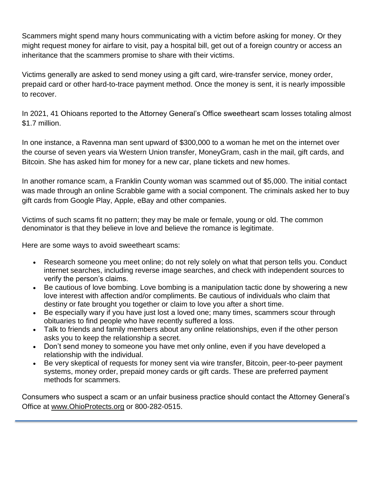Scammers might spend many hours communicating with a victim before asking for money. Or they might request money for airfare to visit, pay a hospital bill, get out of a foreign country or access an inheritance that the scammers promise to share with their victims.

Victims generally are asked to send money using a gift card, wire-transfer service, money order, prepaid card or other hard-to-trace payment method. Once the money is sent, it is nearly impossible to recover.

In 2021, 41 Ohioans reported to the Attorney General's Office sweetheart scam losses totaling almost \$1.7 million.

In one instance, a Ravenna man sent upward of \$300,000 to a woman he met on the internet over the course of seven years via Western Union transfer, MoneyGram, cash in the mail, gift cards, and Bitcoin. She has asked him for money for a new car, plane tickets and new homes.

In another romance scam, a Franklin County woman was scammed out of \$5,000. The initial contact was made through an online Scrabble game with a social component. The criminals asked her to buy gift cards from Google Play, Apple, eBay and other companies.

Victims of such scams fit no pattern; they may be male or female, young or old. The common denominator is that they believe in love and believe the romance is legitimate.

Here are some ways to avoid sweetheart scams:

- Research someone you meet online; do not rely solely on what that person tells you. Conduct internet searches, including reverse image searches, and check with independent sources to verify the person's claims.
- Be cautious of love bombing. Love bombing is a manipulation tactic done by showering a new love interest with affection and/or compliments. Be cautious of individuals who claim that destiny or fate brought you together or claim to love you after a short time.
- Be especially wary if you have just lost a loved one; many times, scammers scour through obituaries to find people who have recently suffered a loss.
- Talk to friends and family members about any online relationships, even if the other person asks you to keep the relationship a secret.
- Don't send money to someone you have met only online, even if you have developed a relationship with the individual.
- Be very skeptical of requests for money sent via wire transfer, Bitcoin, peer-to-peer payment systems, money order, prepaid money cards or gift cards. These are preferred payment methods for scammers.

Consumers who suspect a scam or an unfair business practice should contact the Attorney General's Office at [www.OhioProtects.org](http://www.ohioprotects.org/) or 800-282-0515.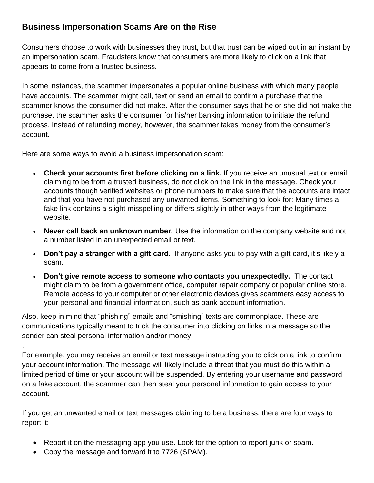## **Business Impersonation Scams Are on the Rise**

Consumers choose to work with businesses they trust, but that trust can be wiped out in an instant by an impersonation scam. Fraudsters know that consumers are more likely to click on a link that appears to come from a trusted business.

In some instances, the scammer impersonates a popular online business with which many people have accounts. The scammer might call, text or send an email to confirm a purchase that the scammer knows the consumer did not make. After the consumer says that he or she did not make the purchase, the scammer asks the consumer for his/her banking information to initiate the refund process. Instead of refunding money, however, the scammer takes money from the consumer's account.

Here are some ways to avoid a business impersonation scam:

- **Check your accounts first before clicking on a link.** If you receive an unusual text or email claiming to be from a trusted business, do not click on the link in the message. Check your accounts though verified websites or phone numbers to make sure that the accounts are intact and that you have not purchased any unwanted items. Something to look for: Many times a fake link contains a slight misspelling or differs slightly in other ways from the legitimate website.
- **Never call back an unknown number.** Use the information on the company website and not a number listed in an unexpected email or text.
- **Don't pay a stranger with a gift card.** If anyone asks you to pay with a gift card, it's likely a scam.
- **Don't give remote access to someone who contacts you unexpectedly.** The contact might claim to be from a government office, computer repair company or popular online store. Remote access to your computer or other electronic devices gives scammers easy access to your personal and financial information, such as bank account information.

Also, keep in mind that "phishing" emails and "smishing" texts are commonplace. These are communications typically meant to trick the consumer into clicking on links in a message so the sender can steal personal information and/or money.

For example, you may receive an email or text message instructing you to click on a link to confirm your account information. The message will likely include a threat that you must do this within a limited period of time or your account will be suspended. By entering your username and password on a fake account, the scammer can then steal your personal information to gain access to your account.

If you get an unwanted email or text messages claiming to be a business, there are four ways to report it:

- Report it on the messaging app you use. Look for the option to report junk or spam.
- Copy the message and forward it to 7726 (SPAM).

.